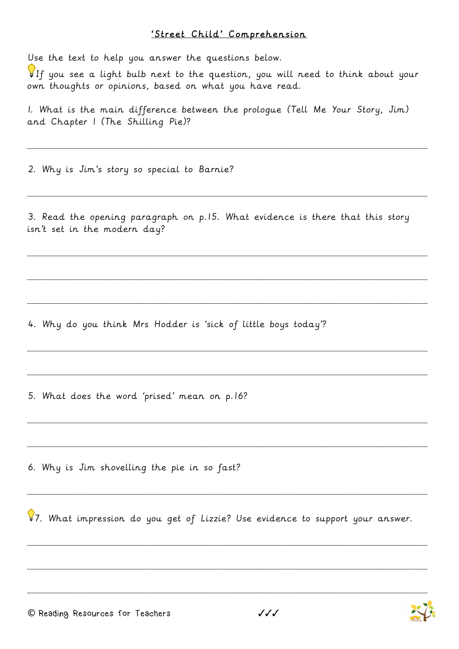## 'Street Child' Comprehension

Use the text to help you answer the questions below.

If you see a light bulb next to the question, you will need to think about your own thoughts or opinions, based on what you have read.

I. What is the main difference between the prologue (Tell Me Your Story, Jim) and Chapter I (The Shilling Pie)?

2. Why is Jim's story so special to Barnie?

3. Read the opening paragraph on p.15. What evidence is there that this story isn't set in the modern day?

4. Why do you think Mrs Hodder is 'sick of little boys today'?

5. What does the word 'prised' mean on p.16?

6. Why is Jim shovelling the pie in so fast?

87. What impression do you get of Lizzie? Use evidence to support your answer.